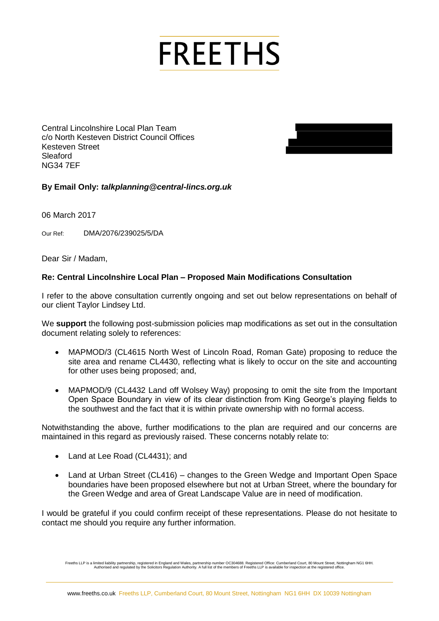## **FREETHS**

c/o North Kesteven District Council Offices Kesteven Street Sleaford NG34 7EF



## **By Email Only:** *talkplanning@central-lincs.org.uk*

06 March 2017

Our Ref: DMA/2076/239025/5/DA

Dear Sir / Madam,

## **Re: Central Lincolnshire Local Plan – Proposed Main Modifications Consultation**

I refer to the above consultation currently ongoing and set out below representations on behalf of our client Taylor Lindsey Ltd.

We **support** the following post-submission policies map modifications as set out in the consultation document relating solely to references:

- Central Lincolnshire Local Plan Team<br>Color North Kesteven District Council Offices<br>Steady Street (Noster Central Lincolnshire Local Plan Proposed Main Modifications Consultation<br>Steady<br>of March 2017<br>Devel Street Lincolns MAPMOD/3 (CL4615 North West of Lincoln Road, Roman Gate) proposing to reduce the site area and rename CL4430, reflecting what is likely to occur on the site and accounting for other uses being proposed; and,
	- MAPMOD/9 (CL4432 Land off Wolsey Way) proposing to omit the site from the Important Open Space Boundary in view of its clear distinction from King George's playing fields to the southwest and the fact that it is within private ownership with no formal access.

Notwithstanding the above, further modifications to the plan are required and our concerns are maintained in this regard as previously raised. These concerns notably relate to:

- Land at Lee Road (CL4431); and
- Land at Urban Street (CL416) changes to the Green Wedge and Important Open Space boundaries have been proposed elsewhere but not at Urban Street, where the boundary for the Green Wedge and area of Great Landscape Value are in need of modification.

I would be grateful if you could confirm receipt of these representations. Please do not hesitate to contact me should you require any further information.

Freeths LLP is a limited liability partneys registered in England and Wales, partnership number OC304688. Registered Office: Cumberland Court, 80 Mount Streeths LA haven Streeths Authorised and regulated by the Solicitors